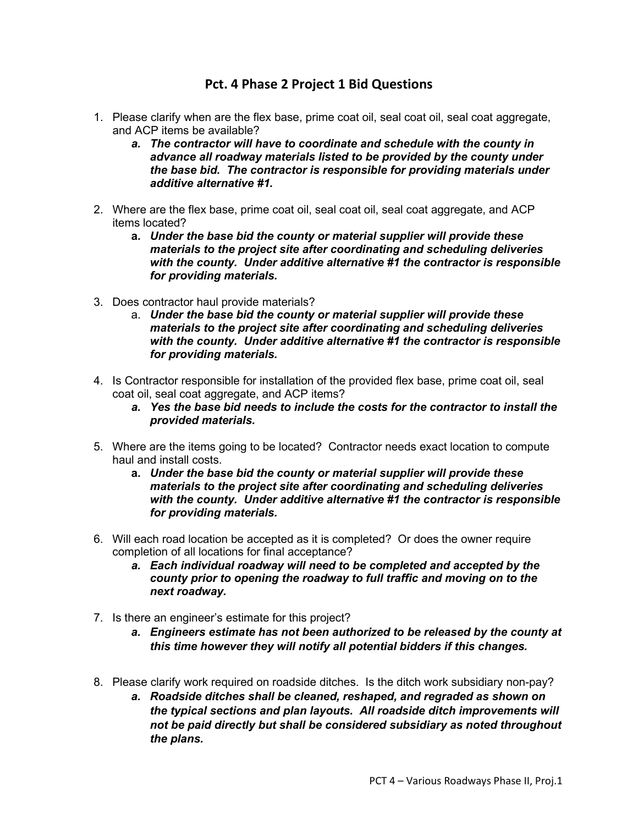## **Pct. 4 Phase 2 Project 1 Bid Questions**

- 1. Please clarify when are the flex base, prime coat oil, seal coat oil, seal coat aggregate, and ACP items be available?
	- *a. The contractor will have to coordinate and schedule with the county in advance all roadway materials listed to be provided by the county under the base bid. The contractor is responsible for providing materials under additive alternative #1.*
- 2. Where are the flex base, prime coat oil, seal coat oil, seal coat aggregate, and ACP items located?
	- **a.** *Under the base bid the county or material supplier will provide these materials to the project site after coordinating and scheduling deliveries with the county. Under additive alternative #1 the contractor is responsible for providing materials.*
- 3. Does contractor haul provide materials?
	- a. *Under the base bid the county or material supplier will provide these materials to the project site after coordinating and scheduling deliveries with the county. Under additive alternative #1 the contractor is responsible for providing materials.*
- 4. Is Contractor responsible for installation of the provided flex base, prime coat oil, seal coat oil, seal coat aggregate, and ACP items?
	- *a. Yes the base bid needs to include the costs for the contractor to install the provided materials.*
- 5. Where are the items going to be located? Contractor needs exact location to compute haul and install costs.
	- **a.** *Under the base bid the county or material supplier will provide these materials to the project site after coordinating and scheduling deliveries with the county. Under additive alternative #1 the contractor is responsible for providing materials.*
- 6. Will each road location be accepted as it is completed? Or does the owner require completion of all locations for final acceptance?
	- *a. Each individual roadway will need to be completed and accepted by the county prior to opening the roadway to full traffic and moving on to the next roadway.*
- 7. Is there an engineer's estimate for this project?
	- *a. Engineers estimate has not been authorized to be released by the county at this time however they will notify all potential bidders if this changes.*
- 8. Please clarify work required on roadside ditches. Is the ditch work subsidiary non-pay?
	- *a. Roadside ditches shall be cleaned, reshaped, and regraded as shown on the typical sections and plan layouts. All roadside ditch improvements will not be paid directly but shall be considered subsidiary as noted throughout the plans.*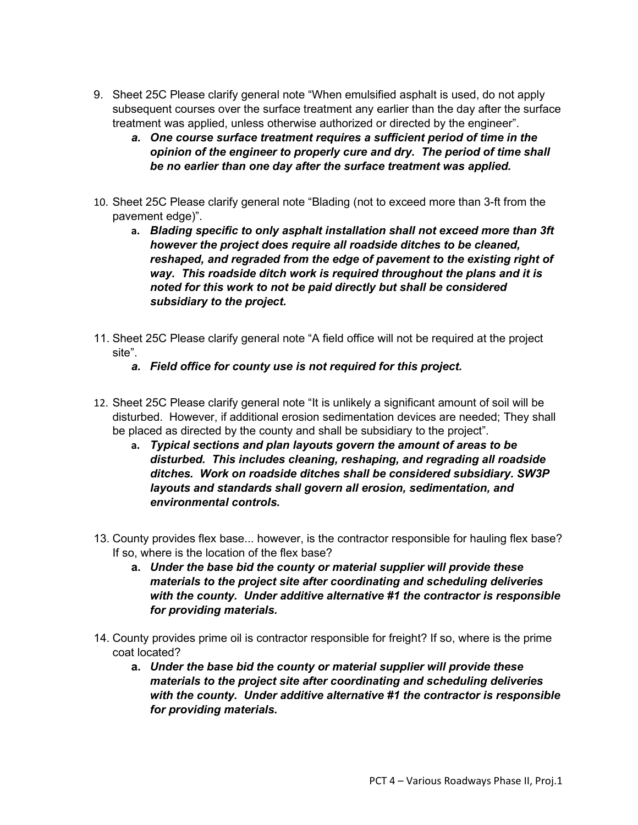- 9. Sheet 25C Please clarify general note "When emulsified asphalt is used, do not apply subsequent courses over the surface treatment any earlier than the day after the surface treatment was applied, unless otherwise authorized or directed by the engineer".
	- *a. One course surface treatment requires a sufficient period of time in the opinion of the engineer to properly cure and dry. The period of time shall be no earlier than one day after the surface treatment was applied.*
- 10. Sheet 25C Please clarify general note "Blading (not to exceed more than 3-ft from the pavement edge)".
	- **a.** *Blading specific to only asphalt installation shall not exceed more than 3ft however the project does require all roadside ditches to be cleaned, reshaped, and regraded from the edge of pavement to the existing right of way. This roadside ditch work is required throughout the plans and it is noted for this work to not be paid directly but shall be considered subsidiary to the project.*
- 11. Sheet 25C Please clarify general note "A field office will not be required at the project site".
	- *a. Field office for county use is not required for this project.*
- 12. Sheet 25C Please clarify general note "It is unlikely a significant amount of soil will be disturbed. However, if additional erosion sedimentation devices are needed; They shall be placed as directed by the county and shall be subsidiary to the project".
	- **a.** *Typical sections and plan layouts govern the amount of areas to be disturbed. This includes cleaning, reshaping, and regrading all roadside ditches. Work on roadside ditches shall be considered subsidiary. SW3P layouts and standards shall govern all erosion, sedimentation, and environmental controls.*
- 13. County provides flex base... however, is the contractor responsible for hauling flex base? If so, where is the location of the flex base?
	- **a.** *Under the base bid the county or material supplier will provide these materials to the project site after coordinating and scheduling deliveries with the county. Under additive alternative #1 the contractor is responsible for providing materials.*
- 14. County provides prime oil is contractor responsible for freight? If so, where is the prime coat located?
	- **a.** *Under the base bid the county or material supplier will provide these materials to the project site after coordinating and scheduling deliveries with the county. Under additive alternative #1 the contractor is responsible for providing materials.*